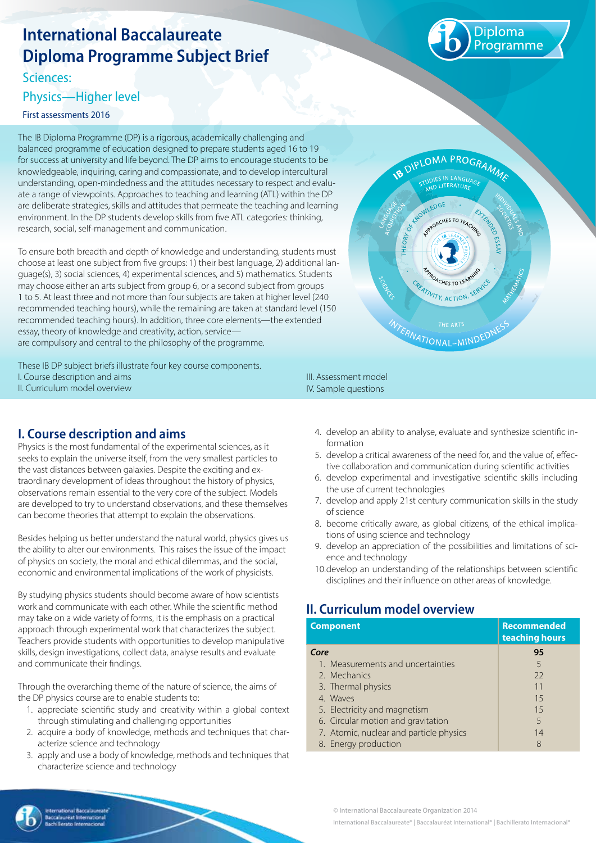# **International Baccalaureate Diploma Programme Subject Brief**

Sciences:

#### Physics—Higher level

First assessments 2016

The IB Diploma Programme (DP) is a rigorous, academically challenging and balanced programme of education designed to prepare students aged 16 to 19 for success at university and life beyond. The DP aims to encourage students to be knowledgeable, inquiring, caring and compassionate, and to develop intercultural understanding, open-mindedness and the attitudes necessary to respect and evaluate a range of viewpoints. Approaches to teaching and learning (ATL) within the DP are deliberate strategies, skills and attitudes that permeate the teaching and learning environment. In the DP students develop skills from five ATL categories: thinking, research, social, self-management and communication.

To ensure both breadth and depth of knowledge and understanding, students must choose at least one subject from five groups: 1) their best language, 2) additional language(s), 3) social sciences, 4) experimental sciences, and 5) mathematics. Students may choose either an arts subject from group 6, or a second subject from groups 1 to 5. At least three and not more than four subjects are taken at higher level (240 recommended teaching hours), while the remaining are taken at standard level (150 recommended teaching hours). In addition, three core elements—the extended essay, theory of knowledge and creativity, action, service are compulsory and central to the philosophy of the programme.

These IB DP subject briefs illustrate four key course components. I. Course description and aims II. Curriculum model overview

## **I. Course description and aims**

Physics is the most fundamental of the experimental sciences, as it seeks to explain the universe itself, from the very smallest particles to the vast distances between galaxies. Despite the exciting and extraordinary development of ideas throughout the history of physics, observations remain essential to the very core of the subject. Models are developed to try to understand observations, and these themselves can become theories that attempt to explain the observations.

Besides helping us better understand the natural world, physics gives us the ability to alter our environments. This raises the issue of the impact of physics on society, the moral and ethical dilemmas, and the social, economic and environmental implications of the work of physicists.

By studying physics students should become aware of how scientists work and communicate with each other. While the scientific method may take on a wide variety of forms, it is the emphasis on a practical approach through experimental work that characterizes the subject. Teachers provide students with opportunities to develop manipulative skills, design investigations, collect data, analyse results and evaluate and communicate their findings.

Through the overarching theme of the nature of science, the aims of the DP physics course are to enable students to:

- 1. appreciate scientific study and creativity within a global context through stimulating and challenging opportunities
- 2. acquire a body of knowledge, methods and techniques that characterize science and technology
- 3. apply and use a body of knowledge, methods and techniques that characterize science and technology

#### III. Assessment model IV. Sample questions

- 4. develop an ability to analyse, evaluate and synthesize scientific information
- 5. develop a critical awareness of the need for, and the value of, effective collaboration and communication during scientific activities
- 6. develop experimental and investigative scientific skills including the use of current technologies
- 7. develop and apply 21st century communication skills in the study of science
- 8. become critically aware, as global citizens, of the ethical implications of using science and technology
- 9. develop an appreciation of the possibilities and limitations of science and technology
- 10.develop an understanding of the relationships between scientific disciplines and their influence on other areas of knowledge.

#### **II. Curriculum model overview**

| <b>Component</b>                        | <b>Recommended</b><br>teaching hours |
|-----------------------------------------|--------------------------------------|
| Core                                    | 95                                   |
| 1. Measurements and uncertainties       | 5                                    |
| 2. Mechanics                            | 22                                   |
| 3. Thermal physics                      | 11                                   |
| 4. Waves                                | 15                                   |
| 5. Electricity and magnetism            | 15                                   |
| 6. Circular motion and gravitation      | 5                                    |
| 7. Atomic, nuclear and particle physics | 14                                   |
| 8. Energy production                    | 8                                    |

© International Baccalaureate Organization 2014

)iploma rogramme